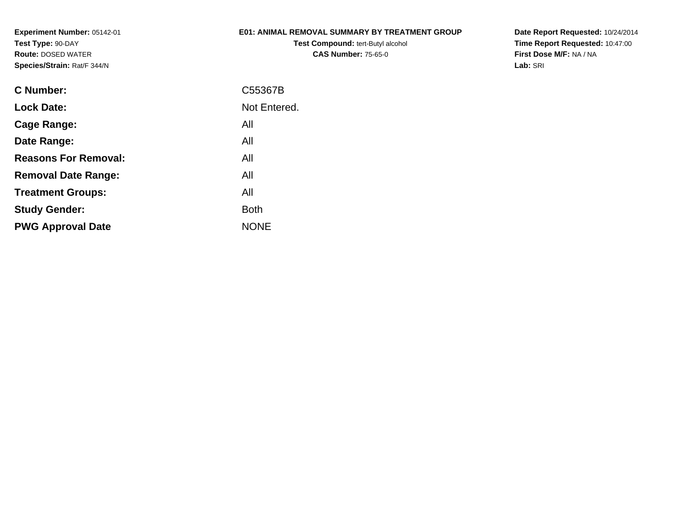### **E01: ANIMAL REMOVAL SUMMARY BY TREATMENT GROUP**

**Test Compound:** tert-Butyl alcohol **CAS Number:** 75-65-0

| <b>C</b> Number:            | C55367B      |
|-----------------------------|--------------|
| <b>Lock Date:</b>           | Not Entered. |
| Cage Range:                 | All          |
| Date Range:                 | All          |
| <b>Reasons For Removal:</b> | All          |
| <b>Removal Date Range:</b>  | All          |
| <b>Treatment Groups:</b>    | All          |
| <b>Study Gender:</b>        | <b>Both</b>  |
| <b>PWG Approval Date</b>    | <b>NONE</b>  |
|                             |              |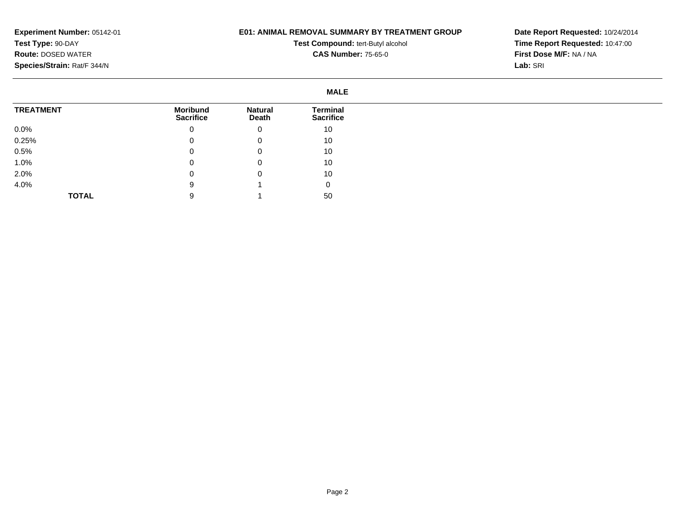## **E01: ANIMAL REMOVAL SUMMARY BY TREATMENT GROUP**

**Test Compound:** tert-Butyl alcohol **CAS Number:** 75-65-0

|                  | <b>MALE</b>                         |                                |                                     |
|------------------|-------------------------------------|--------------------------------|-------------------------------------|
| <b>TREATMENT</b> | <b>Moribund</b><br><b>Sacrifice</b> | <b>Natural</b><br><b>Death</b> | <b>Terminal</b><br><b>Sacrifice</b> |
| $0.0\%$          | 0                                   | 0                              | 10                                  |
| 0.25%            |                                     | 0                              | 10                                  |
| 0.5%             | u                                   | 0                              | 10                                  |
| 1.0%             | U                                   | 0                              | 10                                  |
| 2.0%             |                                     | 0                              | 10                                  |
| 4.0%             | 9                                   |                                | 0                                   |
| <b>TOTAL</b>     |                                     |                                | 50                                  |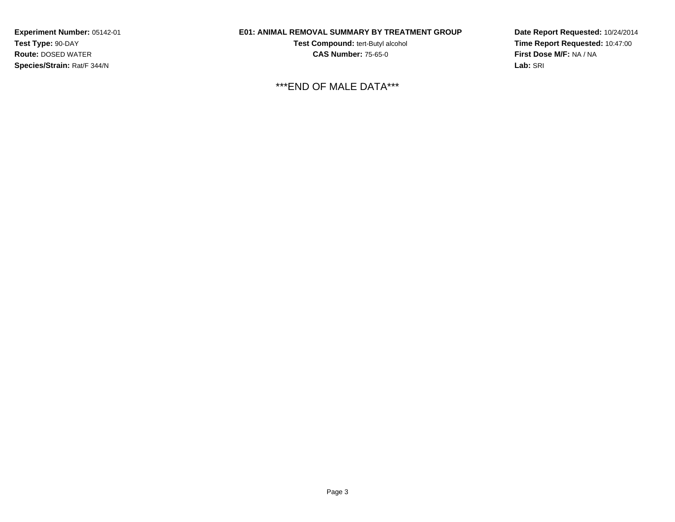## **E01: ANIMAL REMOVAL SUMMARY BY TREATMENT GROUP**

**Test Compound:** tert-Butyl alcohol **CAS Number:** 75-65-0

\*\*\*END OF MALE DATA\*\*\*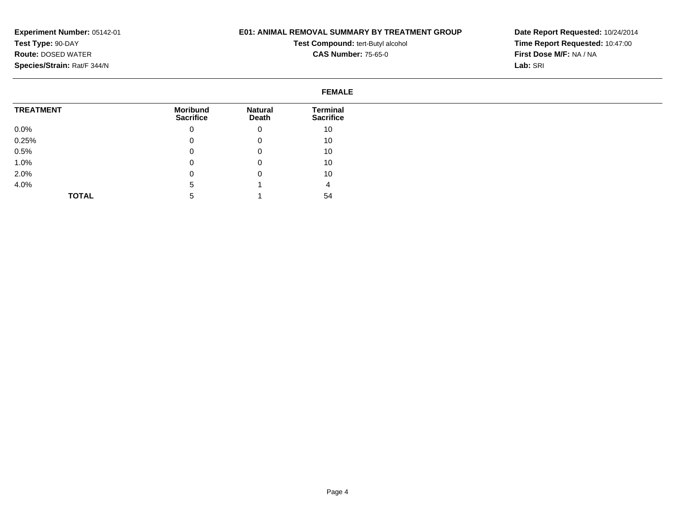### **E01: ANIMAL REMOVAL SUMMARY BY TREATMENT GROUP**

**Test Compound:** tert-Butyl alcohol **CAS Number:** 75-65-0

|                  | <b>FEMALE</b>                       |                                |                                     |
|------------------|-------------------------------------|--------------------------------|-------------------------------------|
| <b>TREATMENT</b> | <b>Moribund</b><br><b>Sacrifice</b> | <b>Natural</b><br><b>Death</b> | <b>Terminal</b><br><b>Sacrifice</b> |
| $0.0\%$          |                                     | 0                              | 10                                  |
| 0.25%            |                                     | 0                              | 10                                  |
| 0.5%             |                                     | 0                              | 10                                  |
| 1.0%             |                                     | 0                              | 10                                  |
| 2.0%             |                                     | 0                              | 10                                  |
| 4.0%             | b                                   |                                | 4                                   |
| <b>TOTAL</b>     |                                     |                                | 54                                  |